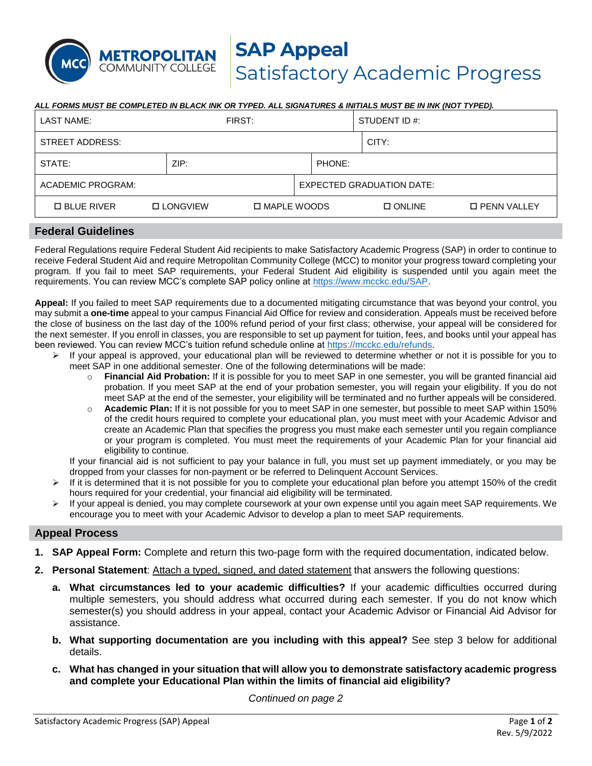#### *ALL FORMS MUST BE COMPLETED IN BLACK INK OR TYPED. ALL SIGNATURES & INITIALS MUST BE IN INK (NOT TYPED).*

| LAST NAME:          |                  | FIRST:        |                                  | STUDENT ID #: |                      |  |
|---------------------|------------------|---------------|----------------------------------|---------------|----------------------|--|
| STREET ADDRESS:     |                  |               |                                  | CITY:         |                      |  |
| STATE:              | ZIP:             |               | PHONE:                           |               |                      |  |
| ACADEMIC PROGRAM:   |                  |               | <b>EXPECTED GRADUATION DATE:</b> |               |                      |  |
| <b>D BLUE RIVER</b> | <b>DLONGVIEW</b> | □ MAPLE WOODS |                                  | $\Box$ ONLINE | <b>D PENN VALLEY</b> |  |

#### **Federal Guidelines**

METROPOLITAN **COMMUNITY COLLEGE** 

Federal Regulations require Federal Student Aid recipients to make Satisfactory Academic Progress (SAP) in order to continue to receive Federal Student Aid and require Metropolitan Community College (MCC) to monitor your progress toward completing your program. If you fail to meet SAP requirements, your Federal Student Aid eligibility is suspended until you again meet the requirements. You can review MCC's complete SAP policy online at [https://www.mcckc.edu/SAP.](https://www.mcckc.edu/SAP)

**Appeal:** If you failed to meet SAP requirements due to a documented mitigating circumstance that was beyond your control, you may submit a **one-time** appeal to your campus Financial Aid Office for review and consideration. Appeals must be received before the close of business on the last day of the 100% refund period of your first class; otherwise, your appeal will be considered for the next semester. If you enroll in classes, you are responsible to set up payment for tuition, fees, and books until your appeal has been reviewed. You can review MCC's tuition refund schedule online at [https://mcckc.edu/refunds.](https://mcckc.edu/refunds)

- ➢ If your appeal is approved, your educational plan will be reviewed to determine whether or not it is possible for you to meet SAP in one additional semester. One of the following determinations will be made:
	- o **Financial Aid Probation:** If it is possible for you to meet SAP in one semester, you will be granted financial aid probation. If you meet SAP at the end of your probation semester, you will regain your eligibility. If you do not meet SAP at the end of the semester, your eligibility will be terminated and no further appeals will be considered.
	- o **Academic Plan:** If it is not possible for you to meet SAP in one semester, but possible to meet SAP within 150% of the credit hours required to complete your educational plan, you must meet with your Academic Advisor and create an Academic Plan that specifies the progress you must make each semester until you regain compliance or your program is completed. You must meet the requirements of your Academic Plan for your financial aid eligibility to continue.

If your financial aid is not sufficient to pay your balance in full, you must set up payment immediately, or you may be dropped from your classes for non-payment or be referred to Delinquent Account Services.

- If it is determined that it is not possible for you to complete your educational plan before you attempt 150% of the credit hours required for your credential, your financial aid eligibility will be terminated.
- If your appeal is denied, you may complete coursework at your own expense until you again meet SAP requirements. We encourage you to meet with your Academic Advisor to develop a plan to meet SAP requirements.

### **Appeal Process**

- **1. SAP Appeal Form:** Complete and return this two-page form with the required documentation, indicated below.
- **2. Personal Statement**: Attach a typed, signed, and dated statement that answers the following questions:
	- **a. What circumstances led to your academic difficulties?** If your academic difficulties occurred during multiple semesters, you should address what occurred during each semester. If you do not know which semester(s) you should address in your appeal, contact your Academic Advisor or Financial Aid Advisor for assistance.
	- **b. What supporting documentation are you including with this appeal?** See step 3 below for additional details.
	- **c. What has changed in your situation that will allow you to demonstrate satisfactory academic progress and complete your Educational Plan within the limits of financial aid eligibility?**

*Continued on page 2*